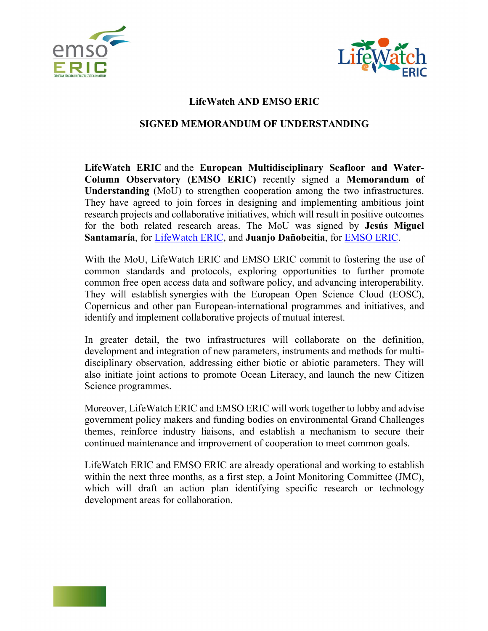



# LifeWatch AND EMSO ERIC

## SIGNED MEMORANDUM OF UNDERSTANDING

LifeWatch ERIC and the European Multidisciplinary Seafloor and Water-Column Observatory (EMSO ERIC) recently signed a Memorandum of Understanding (MoU) to strengthen cooperation among the two infrastructures. They have agreed to join forces in designing and implementing ambitious joint research projects and collaborative initiatives, which will result in positive outcomes for the both related research areas. The MoU was signed by Jesús Miguel Santamaría, for <u>LifeWatch ERIC</u>, and Juanjo Dañobeitia, for **EMSO ERIC**.<br>With the MoU, LifeWatch ERIC and EMSO ERIC commit to fostering the use of

common standards and protocols, exploring opportunities to further promote common free open access data and software policy, and advancing interoperability. They will establish synergies with the European Open Science Cloud (EOSC), Copernicus and other pan European-international programmes and initiatives, and identify and implement collaborative projects of mutual interest.

In greater detail, the two infrastructures will collaborate on the definition, development and integration of new parameters, instruments and methods for multidisciplinary observation, addressing either biotic or abiotic parameters. They will also initiate joint actions to promote Ocean Literacy, and launch the new Citizen Science programmes.

Moreover, LifeWatch ERIC and EMSO ERIC will work together to lobby and advise government policy makers and funding bodies on environmental Grand Challenges themes, reinforce industry liaisons, and establish a mechanism to secure their continued maintenance and improvement of cooperation to meet common goals.

LifeWatch ERIC and EMSO ERIC are already operational and working to establish within the next three months, as a first step, a Joint Monitoring Committee (JMC), which will draft an action plan identifying specific research or technology development areas for collaboration.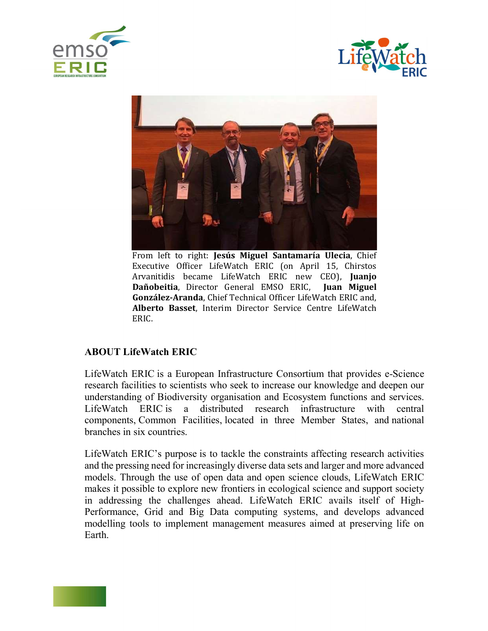





From left to right: Jesús Miguel Santamaría Ulecia, Chief Executive Officer LifeWatch ERIC (on April 15, Chirstos Arvanitidis became LifeWatch ERIC new CEO), Juanjo Dañobeitia, Director General EMSO ERIC, Juan Miguel González-Aranda, Chief Technical Officer LifeWatch ERIC and, Alberto Basset, Interim Director Service Centre LifeWatch ERIC.

### ABOUT LifeWatch ERIC

LifeWatch ERIC is a European Infrastructure Consortium that provides e-Science research facilities to scientists who seek to increase our knowledge and deepen our understanding of Biodiversity organisation and Ecosystem functions and services. LifeWatch ERIC is a distributed research infrastructure with central components, Common Facilities, located in three Member States, and national branches in six countries.

LifeWatch ERIC's purpose is to tackle the constraints affecting research activities and the pressing need for increasingly diverse data sets and larger and more advanced models. Through the use of open data and open science clouds, LifeWatch ERIC makes it possible to explore new frontiers in ecological science and support society in addressing the challenges ahead. LifeWatch ERIC avails itself of High-Performance, Grid and Big Data computing systems, and develops advanced modelling tools to implement management measures aimed at preserving life on Earth.